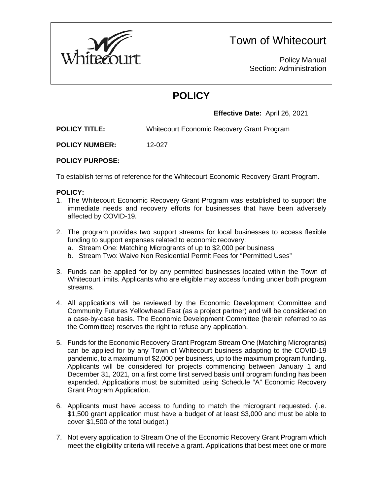

# Town of Whitecourt

Policy Manual Section: Administration

# **POLICY**

**Effective Date:** April 26, 2021

**POLICY TITLE:** Whitecourt Economic Recovery Grant Program

**POLICY NUMBER:** 12-027

## **POLICY PURPOSE:**

To establish terms of reference for the Whitecourt Economic Recovery Grant Program.

### **POLICY:**

- 1. The Whitecourt Economic Recovery Grant Program was established to support the immediate needs and recovery efforts for businesses that have been adversely affected by COVID-19.
- 2. The program provides two support streams for local businesses to access flexible funding to support expenses related to economic recovery:
	- a. Stream One: Matching Microgrants of up to \$2,000 per business
	- b. Stream Two: Waive Non Residential Permit Fees for "Permitted Uses"
- 3. Funds can be applied for by any permitted businesses located within the Town of Whitecourt limits. Applicants who are eligible may access funding under both program streams.
- 4. All applications will be reviewed by the Economic Development Committee and Community Futures Yellowhead East (as a project partner) and will be considered on a case-by-case basis. The Economic Development Committee (herein referred to as the Committee) reserves the right to refuse any application.
- 5. Funds for the Economic Recovery Grant Program Stream One (Matching Microgrants) can be applied for by any Town of Whitecourt business adapting to the COVID-19 pandemic, to a maximum of \$2,000 per business, up to the maximum program funding. Applicants will be considered for projects commencing between January 1 and December 31, 2021, on a first come first served basis until program funding has been expended. Applications must be submitted using Schedule "A" Economic Recovery Grant Program Application.
- 6. Applicants must have access to funding to match the microgrant requested. (i.e. \$1,500 grant application must have a budget of at least \$3,000 and must be able to cover \$1,500 of the total budget.)
- 7. Not every application to Stream One of the Economic Recovery Grant Program which meet the eligibility criteria will receive a grant. Applications that best meet one or more